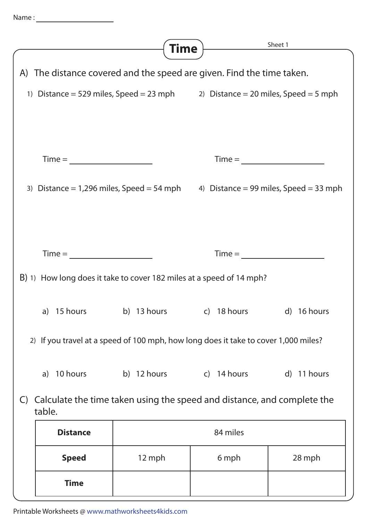| Name |  |  |  |
|------|--|--|--|
|      |  |  |  |

|                                                                                           |                                                                                     | Time        |                                                 | Sheet 1     |  |  |  |  |
|-------------------------------------------------------------------------------------------|-------------------------------------------------------------------------------------|-------------|-------------------------------------------------|-------------|--|--|--|--|
|                                                                                           |                                                                                     |             |                                                 |             |  |  |  |  |
| A) The distance covered and the speed are given. Find the time taken.                     |                                                                                     |             |                                                 |             |  |  |  |  |
|                                                                                           | 1) Distance = 529 miles, Speed = 23 mph 2) Distance = 20 miles, Speed = 5 mph       |             |                                                 |             |  |  |  |  |
|                                                                                           |                                                                                     |             |                                                 |             |  |  |  |  |
|                                                                                           |                                                                                     |             |                                                 |             |  |  |  |  |
|                                                                                           |                                                                                     |             |                                                 |             |  |  |  |  |
| $Time = \_$                                                                               |                                                                                     |             | $Time = \_$                                     |             |  |  |  |  |
|                                                                                           |                                                                                     |             |                                                 |             |  |  |  |  |
| 3) Distance = 1,296 miles, Speed = 54 mph $\qquad$ 4) Distance = 99 miles, Speed = 33 mph |                                                                                     |             |                                                 |             |  |  |  |  |
|                                                                                           |                                                                                     |             |                                                 |             |  |  |  |  |
|                                                                                           |                                                                                     |             |                                                 |             |  |  |  |  |
|                                                                                           |                                                                                     |             |                                                 |             |  |  |  |  |
|                                                                                           | $Time =$<br>$Time =$                                                                |             |                                                 |             |  |  |  |  |
| B) 1) How long does it take to cover 182 miles at a speed of 14 mph?                      |                                                                                     |             |                                                 |             |  |  |  |  |
|                                                                                           |                                                                                     |             |                                                 |             |  |  |  |  |
|                                                                                           |                                                                                     |             | a) 15 hours b) 13 hours c) 18 hours d) 16 hours |             |  |  |  |  |
|                                                                                           |                                                                                     |             |                                                 |             |  |  |  |  |
|                                                                                           | 2) If you travel at a speed of 100 mph, how long does it take to cover 1,000 miles? |             |                                                 |             |  |  |  |  |
|                                                                                           |                                                                                     |             |                                                 |             |  |  |  |  |
|                                                                                           | 10 hours<br>a)                                                                      | b) 12 hours | c) 14 hours                                     | d) 11 hours |  |  |  |  |
| Calculate the time taken using the speed and distance, and complete the<br>$\mathsf{C}$   |                                                                                     |             |                                                 |             |  |  |  |  |
| table.                                                                                    |                                                                                     |             |                                                 |             |  |  |  |  |
|                                                                                           | <b>Distance</b>                                                                     | 84 miles    |                                                 |             |  |  |  |  |
|                                                                                           |                                                                                     |             |                                                 |             |  |  |  |  |
|                                                                                           | <b>Speed</b>                                                                        | 12 mph      | 6 mph                                           | 28 mph      |  |  |  |  |
|                                                                                           | <b>Time</b>                                                                         |             |                                                 |             |  |  |  |  |
|                                                                                           |                                                                                     |             |                                                 |             |  |  |  |  |